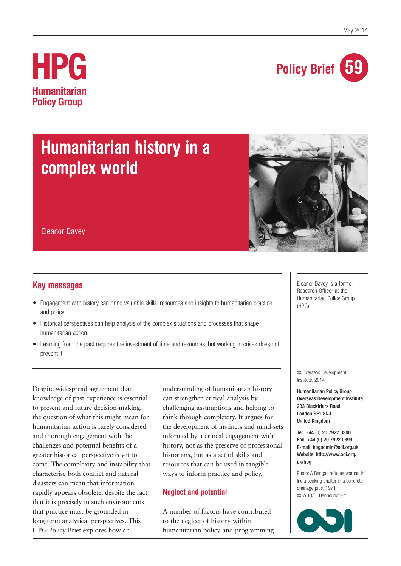

# **HPG Humanitarian Policy Group**

# **Humanitarian history in a complex world**



Eleanor Davey

## **Key messages**

- Engagement with history can bring valuable skills, resources and insights to humanitarian practice and policy.
- Historical perspectives can help analysis of the complex situations and processes that shape humanitarian action.
- Learning from the past requires the investment of time and resources, but working in crises does not prevent it.

Despite widespread agreement that knowledge of past experience is essential to present and future decision-making, the question of what this might mean for humanitarian action is rarely considered and thorough engagement with the challenges and potential benefits of a greater historical perspective is yet to come. The complexity and instability that characterise both conflict and natural disasters can mean that information rapidly appears obsolete, despite the fact that it is precisely in such environments that practice must be grounded in long-term analytical perspectives. This HPG Policy Brief explores how an

understanding of humanitarian history can strengthen critical analysis by challenging assumptions and helping to think through complexity. It argues for the development of instincts and mind-sets informed by a critical engagement with history, not as the preserve of professional historians, but as a set of skills and resources that can be used in tangible ways to inform practice and policy.

### **Neglect and potential**

A number of factors have contributed to the neglect of history within humanitarian policy and programming. Eleanor Davey is a former Research Officer at the Humanitarian Policy Group (HPG).

© Overseas Development Institute, 2014

Humanitarian Policy Group Overseas Development Institute 203 Blackfriars Road London SE1 8NJ United Kingdom

Tel. +44 (0) 20 7922 0300 Fax. +44 (0) 20 7922 0399 E-mail: hpgadmin@odi.org.uk Website: http://www.odi.org. uk/hpg

Photo: A Bengali refugee woman in India seeking shelter in a concrete drainage pipe, 1971 © WHO/D. Henrioud/1971

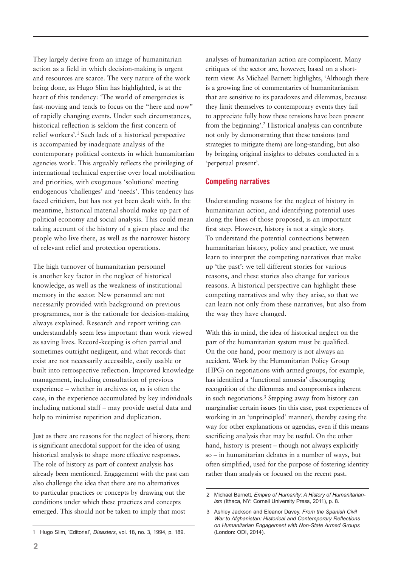They largely derive from an image of humanitarian action as a field in which decision-making is urgent and resources are scarce. The very nature of the work being done, as Hugo Slim has highlighted, is at the heart of this tendency: 'The world of emergencies is fast-moving and tends to focus on the "here and now" of rapidly changing events. Under such circumstances, historical reflection is seldom the first concern of relief workers'.1 Such lack of a historical perspective is accompanied by inadequate analysis of the contemporary political contexts in which humanitarian agencies work. This arguably reflects the privileging of international technical expertise over local mobilisation and priorities, with exogenous 'solutions' meeting endogenous 'challenges' and 'needs'. This tendency has faced criticism, but has not yet been dealt with. In the meantime, historical material should make up part of political economy and social analysis. This could mean taking account of the history of a given place and the people who live there, as well as the narrower history of relevant relief and protection operations.

The high turnover of humanitarian personnel is another key factor in the neglect of historical knowledge, as well as the weakness of institutional memory in the sector. New personnel are not necessarily provided with background on previous programmes, nor is the rationale for decision-making always explained. Research and report writing can understandably seem less important than work viewed as saving lives. Record-keeping is often partial and sometimes outright negligent, and what records that exist are not necessarily accessible, easily usable or built into retrospective reflection. Improved knowledge management, including consultation of previous experience – whether in archives or, as is often the case, in the experience accumulated by key individuals including national staff – may provide useful data and help to minimise repetition and duplication.

Just as there are reasons for the neglect of history, there is significant anecdotal support for the idea of using historical analysis to shape more effective responses. The role of history as part of context analysis has already been mentioned. Engagement with the past can also challenge the idea that there are no alternatives to particular practices or concepts by drawing out the conditions under which these practices and concepts emerged. This should not be taken to imply that most

analyses of humanitarian action are complacent. Many critiques of the sector are, however, based on a shortterm view. As Michael Barnett highlights, 'Although there is a growing line of commentaries of humanitarianism that are sensitive to its paradoxes and dilemmas, because they limit themselves to contemporary events they fail to appreciate fully how these tensions have been present from the beginning'.2 Historical analysis can contribute not only by demonstrating that these tensions (and strategies to mitigate them) are long-standing, but also by bringing original insights to debates conducted in a 'perpetual present'.

#### **Competing narratives**

Understanding reasons for the neglect of history in humanitarian action, and identifying potential uses along the lines of those proposed, is an important first step. However, history is not a single story. To understand the potential connections between humanitarian history, policy and practice, we must learn to interpret the competing narratives that make up 'the past': we tell different stories for various reasons, and these stories also change for various reasons. A historical perspective can highlight these competing narratives and why they arise, so that we can learn not only from these narratives, but also from the way they have changed.

With this in mind, the idea of historical neglect on the part of the humanitarian system must be qualified. On the one hand, poor memory is not always an accident. Work by the Humanitarian Policy Group (HPG) on negotiations with armed groups, for example, has identified a 'functional amnesia' discouraging recognition of the dilemmas and compromises inherent in such negotiations.3 Stepping away from history can marginalise certain issues (in this case, past experiences of working in an 'unprincipled' manner), thereby easing the way for other explanations or agendas, even if this means sacrificing analysis that may be useful. On the other hand, history is present – though not always explicitly so – in humanitarian debates in a number of ways, but often simplified, used for the purpose of fostering identity rather than analysis or focused on the recent past.

<sup>2</sup> Michael Barnett, *Empire of Humanity: A History of Humanitarianism* (Ithaca, NY: Cornell University Press, 2011), p. 8.

<sup>3</sup> Ashley Jackson and Eleanor Davey, *From the Spanish Civil War to Afghanistan: Historical and Contemporary Reflections on Humanitarian Engagement with Non-State Armed Groups* (London: ODI, 2014).

<sup>1</sup> Hugo Slim, 'Editorial', *Disasters*, vol. 18, no. 3, 1994, p. 189.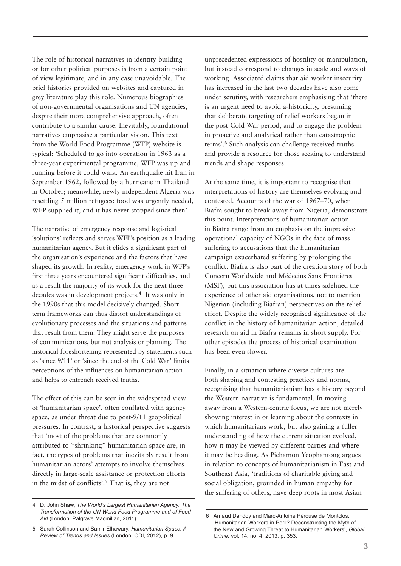The role of historical narratives in identity-building or for other political purposes is from a certain point of view legitimate, and in any case unavoidable. The brief histories provided on websites and captured in grey literature play this role. Numerous biographies of non-governmental organisations and UN agencies, despite their more comprehensive approach, often contribute to a similar cause. Inevitably, foundational narratives emphasise a particular vision. This text from the World Food Programme (WFP) website is typical: 'Scheduled to go into operation in 1963 as a three-year experimental programme, WFP was up and running before it could walk. An earthquake hit Iran in September 1962, followed by a hurricane in Thailand in October; meanwhile, newly independent Algeria was resettling 5 million refugees: food was urgently needed, WFP supplied it, and it has never stopped since then'.

The narrative of emergency response and logistical 'solutions' reflects and serves WFP's position as a leading humanitarian agency. But it elides a significant part of the organisation's experience and the factors that have shaped its growth. In reality, emergency work in WFP's first three years encountered significant difficulties, and as a result the majority of its work for the next three decades was in development projects.4 It was only in the 1990s that this model decisively changed. Shortterm frameworks can thus distort understandings of evolutionary processes and the situations and patterns that result from them. They might serve the purposes of communications, but not analysis or planning. The historical foreshortening represented by statements such as 'since 9/11' or 'since the end of the Cold War' limits perceptions of the influences on humanitarian action and helps to entrench received truths.

The effect of this can be seen in the widespread view of 'humanitarian space', often conflated with agency space, as under threat due to post-9/11 geopolitical pressures. In contrast, a historical perspective suggests that 'most of the problems that are commonly attributed to "shrinking" humanitarian space are, in fact, the types of problems that inevitably result from humanitarian actors' attempts to involve themselves directly in large-scale assistance or protection efforts in the midst of conflicts'.5 That is, they are not

unprecedented expressions of hostility or manipulation, but instead correspond to changes in scale and ways of working. Associated claims that aid worker insecurity has increased in the last two decades have also come under scrutiny, with researchers emphasising that 'there is an urgent need to avoid a-historicity, presuming that deliberate targeting of relief workers began in the post-Cold War period, and to engage the problem in proactive and analytical rather than catastrophic terms'.6 Such analysis can challenge received truths and provide a resource for those seeking to understand trends and shape responses.

At the same time, it is important to recognise that interpretations of history are themselves evolving and contested. Accounts of the war of 1967–70, when Biafra sought to break away from Nigeria, demonstrate this point. Interpretations of humanitarian action in Biafra range from an emphasis on the impressive operational capacity of NGOs in the face of mass suffering to accusations that the humanitarian campaign exacerbated suffering by prolonging the conflict. Biafra is also part of the creation story of both Concern Worldwide and Médecins Sans Frontières (MSF), but this association has at times sidelined the experience of other aid organisations, not to mention Nigerian (including Biafran) perspectives on the relief effort. Despite the widely recognised significance of the conflict in the history of humanitarian action, detailed research on aid in Biafra remains in short supply. For other episodes the process of historical examination has been even slower.

Finally, in a situation where diverse cultures are both shaping and contesting practices and norms, recognising that humanitarianism has a history beyond the Western narrative is fundamental. In moving away from a Western-centric focus, we are not merely showing interest in or learning about the contexts in which humanitarians work, but also gaining a fuller understanding of how the current situation evolved, how it may be viewed by different parties and where it may be heading. As Pichamon Yeophantong argues in relation to concepts of humanitarianism in East and Southeast Asia, 'traditions of charitable giving and social obligation, grounded in human empathy for the suffering of others, have deep roots in most Asian

<sup>4</sup> D. John Shaw, *The World's Largest Humanitarian Agency: The Transformation of the UN World Food Programme and of Food Aid* (London: Palgrave Macmillan, 2011).

<sup>5</sup> Sarah Collinson and Samir Elhawary, *Humanitarian Space: A Review of Trends and Issues* (London: ODI, 2012), p. 9.

<sup>6</sup> Arnaud Dandoy and Marc-Antoine Pérouse de Montclos, 'Humanitarian Workers in Peril? Deconstructing the Myth of the New and Growing Threat to Humanitarian Workers', *Global Crime*, vol. 14, no. 4, 2013, p. 353.